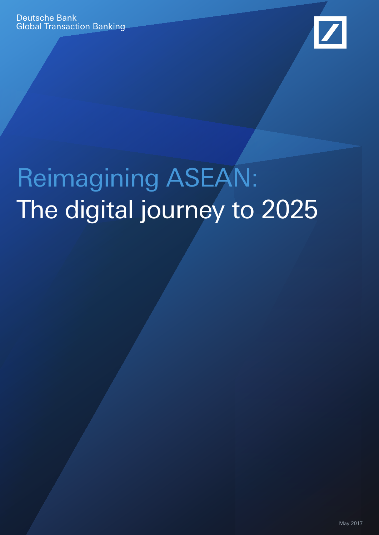

# Reimagining ASEAN: The digital journey to 2025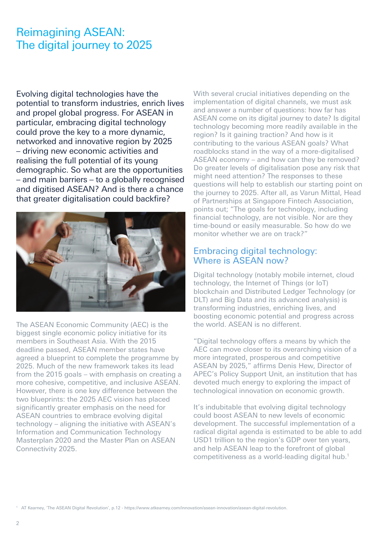## Reimagining ASEAN: The digital journey to 2025

Evolving digital technologies have the potential to transform industries, enrich lives and propel global progress. For ASEAN in particular, embracing digital technology could prove the key to a more dynamic, networked and innovative region by 2025 – driving new economic activities and realising the full potential of its young demographic. So what are the opportunities – and main barriers – to a globally recognised and digitised ASEAN? And is there a chance that greater digitalisation could backfire?



The ASEAN Economic Community (AEC) is the biggest single economic policy initiative for its members in Southeast Asia. With the 2015 deadline passed, ASEAN member states have agreed a blueprint to complete the programme by 2025. Much of the new framework takes its lead from the 2015 goals – with emphasis on creating a more cohesive, competitive, and inclusive ASEAN. However, there is one key difference between the two blueprints: the 2025 AEC vision has placed significantly greater emphasis on the need for ASEAN countries to embrace evolving digital technology – aligning the initiative with ASEAN's Information and Communication Technology Masterplan 2020 and the Master Plan on ASEAN Connectivity 2025.

With several crucial initiatives depending on the implementation of digital channels, we must ask and answer a number of questions: how far has ASEAN come on its digital journey to date? Is digital technology becoming more readily available in the region? Is it gaining traction? And how is it contributing to the various ASEAN goals? What roadblocks stand in the way of a more-digitalised ASEAN economy – and how can they be removed? Do greater levels of digitalisation pose any risk that might need attention? The responses to these questions will help to establish our starting point on the journey to 2025. After all, as Varun Mittal, Head of Partnerships at Singapore Fintech Association, points out; "The goals for technology, including financial technology, are not visible. Nor are they time-bound or easily measurable. So how do we monitor whether we are on track?"

## Embracing digital technology: Where is ASEAN now?

Digital technology (notably mobile internet, cloud technology, the Internet of Things (or IoT) blockchain and Distributed Ledger Technology (or DLT) and Big Data and its advanced analysis) is transforming industries, enriching lives, and boosting economic potential and progress across the world. ASEAN is no different.

"Digital technology offers a means by which the AEC can move closer to its overarching vision of a more integrated, prosperous and competitive ASEAN by 2025," affirms Denis Hew, Director of APEC's Policy Support Unit, an institution that has devoted much energy to exploring the impact of technological innovation on economic growth.

It's indubitable that evolving digital technology could boost ASEAN to new levels of economic development. The successful implementation of a radical digital agenda is estimated to be able to add USD1 trillion to the region's GDP over ten years, and help ASEAN leap to the forefront of global competitiveness as a world-leading digital hub.1

<sup>1</sup> AT Kearney, 'The ASEAN Digital Revolution', p.12 - https://www.atkearney.com/innovation/asean-innovation/asean-digital-revolution.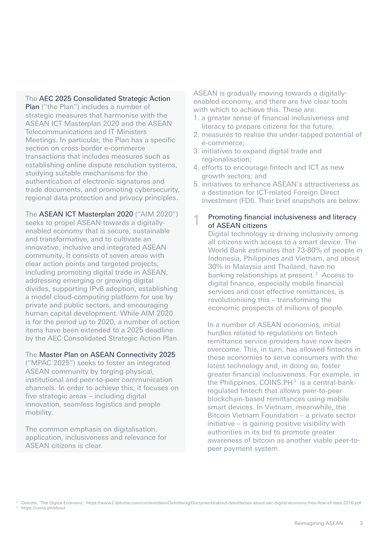The AEC 2025 Consolidated Strategic Action Plan ("the Plan") includes a number of strategic measures that harmonise with the ASEAN ICT Masterplan 2020 and the ASEAN Telecommunications and IT Ministers Meetings. In particular, the Plan has a specific section on cross-border e-commerce transactions that includes measures such as establishing online dispute resolution systems, studying suitable mechanisms for the authentication of electronic signatures and trade documents, and promoting cybersecurity, regional data protection and privacy principles.

The ASEAN ICT Masterplan 2020 ("AIM 2020") seeks to propel ASEAN towards a digitallyenabled economy that is secure, sustainable and transformative, and to cultivate an innovative, inclusive and integrated ASEAN community. It consists of seven areas with clear action points and targeted projects, including promoting digital trade in ASEAN, addressing emerging or growing digital divides, supporting IPv6 adoption, establishing a model cloud-computing platform for use by private and public sectors, and encouraging human capital development. While AIM 2020 is for the period up to 2020, a number of action items have been extended to a 2025 deadline by the AEC Consolidated Strategic Action Plan.

## The Master Plan on ASEAN Connectivity 2025

("MPAC 2025") seeks to foster an integrated ASEAN community by forging physical, institutional and peer-to-peer communication channels. In order to achieve this, it focuses on five strategic areas – including digital innovation, seamless logistics and people mobility.

The common emphasis on digitalisation, application, inclusiveness and relevance for ASEAN citizens is clear.

ASEAN is gradually moving towards a digitallyenabled economy, and there are five clear tools with which to achieve this. These are:

- 1. a greater sense of financial inclusiveness and literacy to prepare citizens for the future;
- 2. measures to realise the under-tapped potential of e-commerce;
- 3. initiatives to expand digital trade and regionalisation;
- 4. efforts to encourage fintech and ICT as new growth sectors; and
- 5. initiatives to enhance ASEAN's attractiveness as a destination for ICT-related Foreign Direct Investment (FDI). Their brief snapshots are below:
- Promoting financial inclusiveness and literacy of ASEAN citizens 1

Digital technology is driving inclusivity among all citizens with access to a smart device. The World Bank estimates that 73-80% of people in Indonesia, Philippines and Vietnam, and about 30% in Malaysia and Thailand, have no banking relationships at present.<sup>2</sup> Access to digital finance, especially mobile financial services and cost effective remittances, is revolutionising this – transforming the economic prospects of millions of people.

In a number of ASEAN economies, initial hurdles related to regulations on fintech remittance service providers have now been overcome. This, in turn, has allowed fintechs in these economies to serve consumers with the latest technology and, in doing so, foster greater financial inclusiveness. For example, in the Philippines,  $COMS.PH<sup>3</sup>$  is a central-bankregulated fintech that allows peer-to-peer blockchain-based remittances using mobile smart devices. In Vietnam, meanwhile, the Bitcoin Vietnam Foundation – a private sector initiative – is gaining positive visibility with authorities in its bid to promote greater awareness of bitcoin as another viable peer-topeer payment system.

<sup>2</sup> Deloitte, 'The Digital Economy'; https://www2.deloitte.com/content/dam/Deloitte/sg/Documents/about-deloitte/sea-about-aec-digital-economy-free-flow-of-data-2016.pdf

<sup>&</sup>lt;sup>3</sup> https://coins.ph/about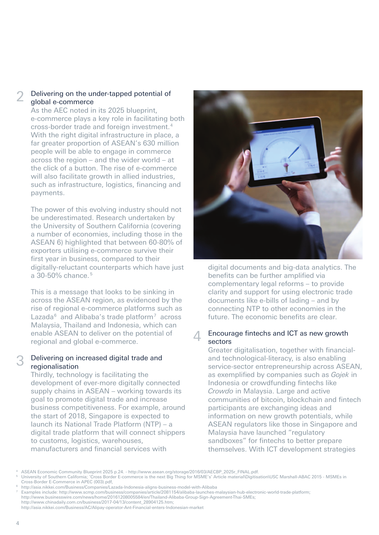#### Delivering on the under-tapped potential of global e-commerce 2

As the AEC noted in its 2025 blueprint, e-commerce plays a key role in facilitating both cross-border trade and foreign investment. 4 With the right digital infrastructure in place, a far greater proportion of ASEAN's 630 million people will be able to engage in commerce across the region – and the wider world – at the click of a button. The rise of e-commerce will also facilitate growth in allied industries. such as infrastructure, logistics, financing and payments.

The power of this evolving industry should not be underestimated. Research undertaken by the University of Southern California (covering a number of economies, including those in the ASEAN 6) highlighted that between 60-80% of exporters utilising e-commerce survive their first year in business, compared to their digitally-reluctant counterparts which have just a 30-50% chance. 5

This is a message that looks to be sinking in across the ASEAN region, as evidenced by the rise of regional e-commerce platforms such as Lazada $6$  and Alibaba's trade platform<sup>7</sup> across Malaysia, Thailand and Indonesia, which can enable ASEAN to deliver on the potential of regional and global e-commerce.

#### Delivering on increased digital trade and regionalisation 3

Thirdly, technology is facilitating the development of ever-more digitally connected supply chains in ASEAN – working towards its goal to promote digital trade and increase business competitiveness. For example, around the start of 2018, Singapore is expected to launch its National Trade Platform (NTP) – a digital trade platform that will connect shippers to customs, logistics, warehouses, manufacturers and financial services with



digital documents and big-data analytics. The benefits can be further amplified via complementary legal reforms – to provide clarity and support for using electronic trade documents like e-bills of lading – and by connecting NTP to other economies in the future. The economic benefits are clear.

#### Encourage fintechs and ICT as new growth sectors  $\sqrt{2}$

Greater digitalisation, together with financialand technological-literacy, is also enabling service-sector entrepreneurship across ASEAN, as exemplified by companies such as *Gojek* in Indonesia or crowdfunding fintechs like *Crowdo* in Malaysia. Large and active communities of bitcoin, blockchain and fintech participants are exchanging ideas and information on new growth potentials, while ASEAN regulators like those in Singapore and Malaysia have launched "regulatory sandboxes" for fintechs to better prepare themselves. With ICT development strategies

<sup>4</sup> ASEAN Economic Community Blueprint 2025 p.24. - http://www.asean.org/storage/2016/03/AECBP\_2025r\_FINAL.pdf.

<sup>5</sup> University of Southern California; 'Cross Border E-commerce is the next Big Thing for MSME's' Article material\Digitisation\USC Marshall-ABAC 2015 - MSMEs in Cross-Border E-Commerce in APEC (003).pdf,

<sup>6</sup> http://asia.nikkei.com/Business/Companies/Lazada-Indonesia-aligns-business-model-with-Alibaba

<sup>7</sup> Examples include: http://www.scmp.com/business/companies/article/2081154/alibaba-launches-malaysian-hub-electronic-world-trade-platform; http://www.businesswire.com/news/home/20161208005584/en/Thailand-Alibaba-Group-Sign-Agreement-Thai-SMEs;

http://www.chinadaily.com.cn/business/2017-04/13/content\_28904125.htm;

http://asia.nikkei.com/Business/AC/Alipay-operator-Ant-Financial-enters-Indonesian-market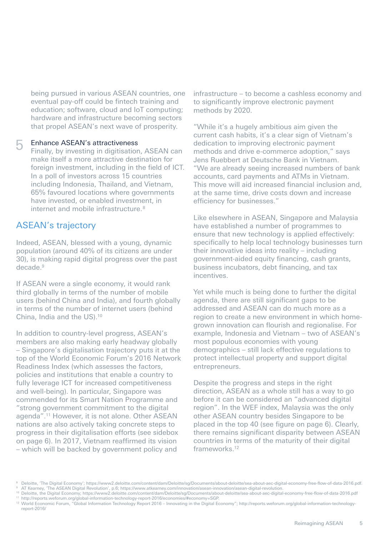being pursued in various ASEAN countries, one eventual pay-off could be fintech training and education; software, cloud and IoT computing; hardware and infrastructure becoming sectors that propel ASEAN's next wave of prosperity.

#### Enhance ASEAN's attractiveness 5

Finally, by investing in digitisation, ASEAN can make itself a more attractive destination for foreign investment, including in the field of ICT. In a poll of investors across 15 countries including Indonesia, Thailand, and Vietnam, 65% favoured locations where governments have invested, or enabled investment, in internet and mobile infrastructure. 8

## ASEAN's trajectory

Indeed, ASEAN, blessed with a young, dynamic population (around 40% of its citizens are under 30), is making rapid digital progress over the past decade.<sup>9</sup>

If ASEAN were a single economy, it would rank third globally in terms of the number of mobile users (behind China and India), and fourth globally in terms of the number of internet users (behind China, India and the US).10

In addition to country-level progress, ASEAN's members are also making early headway globally – Singapore's digitalisation trajectory puts it at the top of the World Economic Forum's 2016 Network Readiness Index (which assesses the factors, policies and institutions that enable a country to fully leverage ICT for increased competitiveness and well-being). In particular, Singapore was commended for its Smart Nation Programme and "strong government commitment to the digital agenda".11 However, it is not alone. Other ASEAN nations are also actively taking concrete steps to progress in their digitalisation efforts (see sidebox on page 6). In 2017, Vietnam reaffirmed its vision – which will be backed by government policy and

infrastructure – to become a cashless economy and to significantly improve electronic payment methods by 2020.

"While it's a hugely ambitious aim given the current cash habits, it's a clear sign of Vietnam's dedication to improving electronic payment methods and drive e-commerce adoption," says Jens Ruebbert at Deutsche Bank in Vietnam. "We are already seeing increased numbers of bank accounts, card payments and ATMs in Vietnam. This move will aid increased financial inclusion and, at the same time, drive costs down and increase efficiency for businesses."

Like elsewhere in ASEAN, Singapore and Malaysia have established a number of programmes to ensure that new technology is applied effectively: specifically to help local technology businesses turn their innovative ideas into reality – including government-aided equity financing, cash grants, business incubators, debt financing, and tax incentives.

Yet while much is being done to further the digital agenda, there are still significant gaps to be addressed and ASEAN can do much more as a region to create a new environment in which homegrown innovation can flourish and regionalise. For example, Indonesia and Vietnam – two of ASEAN's most populous economies with young demographics – still lack effective regulations to protect intellectual property and support digital entrepreneurs.

Despite the progress and steps in the right direction, ASEAN as a whole still has a way to go before it can be considered an "advanced digital region". In the WEF index, Malaysia was the only other ASEAN country besides Singapore to be placed in the top 40 (see figure on page 6). Clearly, there remains significant disparity between ASEAN countries in terms of the maturity of their digital frameworks.<sup>12</sup>

<sup>&</sup>lt;sup>8</sup> Deloitte, 'The Digital Economy'; https://www2.deloitte.com/content/dam/Deloitte/sg/Documents/about-deloitte/sea-about-aec-digital-economy-free-flow-of-data-2016.pdf.<br><sup>9</sup> AT Kearney, 'The ASEAN Digital Revolution', p.6;

<sup>10</sup> Deloitte, the Digital Economy; https://www2.deloitte.com/content/dam/Deloitte/sg/Documents/about-deloitte/sea-about-aec-digital-economy-free-flow-of-data-2016.pdf <sup>11</sup> http://reports.weforum.org/global-information-technology-report-2016/economies/#economy=SGP.

<sup>&</sup>lt;sup>12</sup> World Economic Forum, "Global Information Technology Report 2016 – Innovating in the Digital Economy"; http://reports.weforum.org/global-information-technologyreport-2016/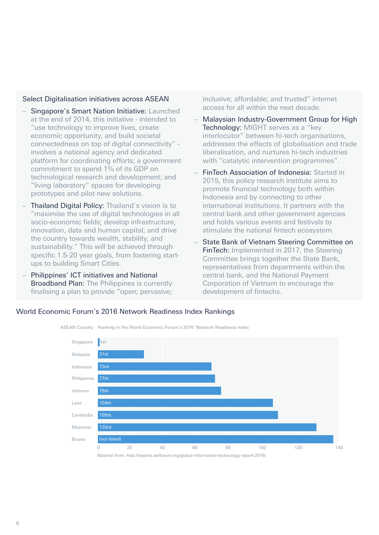## Select Digitalisation initiatives across ASEAN

- Singapore's Smart Nation Initiative: Launched at the end of 2014, this initiative - intended to "use technology to improve lives, create economic opportunity, and build societal connectedness on top of digital connectivity" involves a national agency and dedicated platform for coordinating efforts; a government commitment to spend 1% of its GDP on technological research and development; and "living laboratory" spaces for developing prototypes and pilot new solutions.
- Thailand Digital Policy: Thailand's vision is to "maximise the use of digital technologies in all socio-economic fields; develop infrastructure, innovation, data and human capital; and drive the country towards wealth, stability, and sustainability." This will be achieved through specific 1.5-20 year goals, from fostering startups to building Smart Cities.
- Philippines' ICT initiatives and National Broadband Plan: The Philippines is currently finalising a plan to provide "open; pervasive;

inclusive; affordable; and trusted" internet access for all within the next decade.

- Malaysian Industry-Government Group for High Technology: MIGHT serves as a "key interlocutor" between hi-tech organisations, addresses the effects of globalisation and trade liberalisation, and nurtures hi-tech industries with "catalytic intervention programmes".
- FinTech Association of Indonesia: Started in 2015, this policy research institute aims to promote financial technology both within Indonesia and by connecting to other international institutions. It partners with the central bank and other government agencies and holds various events and festivals to stimulate the national fintech ecosystem.
- State Bank of Vietnam Steering Committee on FinTech: Implemented in 2017, the Steering Committee brings together the State Bank, representatives from departments within the central bank, and the National Payment Corporation of Vietnam to encourage the development of fintechs.

## World Economic Forum's 2016 Network Readiness Index Rankings



6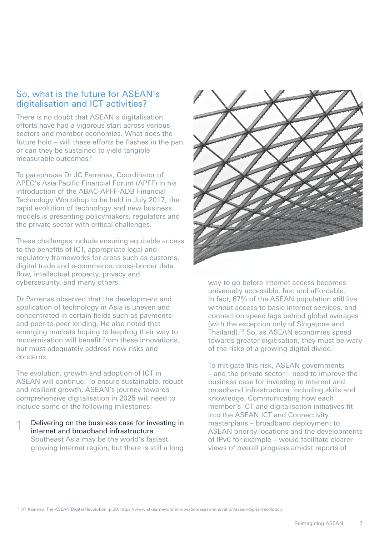## So, what is the future for ASEAN's digitalisation and ICT activities?

There is no doubt that ASEAN's digitalisation efforts have had a vigorous start across various sectors and member economies. What does the future hold – will these efforts be flashes in the pan, or can they be sustained to yield tangible measurable outcomes?

To paraphrase Dr JC Parrenas, Coordinator of APEC's Asia Pacific Financial Forum (APFF) in his introduction of the ABAC-APFF-ADB Financial Technology Workshop to be held in July 2017, the rapid evolution of technology and new business models is presenting policymakers, regulators and the private sector with critical challenges.

These challenges include ensuring equitable access to the benefits of ICT, appropriate legal and regulatory frameworks for areas such as customs, digital trade and e-commerce, cross-border data flow, intellectual property, privacy and cybersecurity, and many others.

Dr Parrenas observed that the development and application of technology in Asia is uneven and concentrated in certain fields such as payments and peer-to-peer lending. He also noted that emerging markets hoping to leapfrog their way to modernisation will benefit from these innovations, but must adequately address new risks and concerns.

The evolution, growth and adoption of ICT in ASEAN will continue. To ensure sustainable, robust and resilient growth, ASEAN's journey towards comprehensive digitalisation in 2025 will need to include some of the following milestones:

Delivering on the business case for investing in internet and broadband infrastructure Southeast Asia may be the world's fastest growing internet region, but there is still a long 1



way to go before internet access becomes universally accessible, fast and affordable. In fact, 67% of the ASEAN population still live without access to basic internet services, and connection speed lags behind global averages (with the exception only of Singapore and Thailand).13 So, as ASEAN economies speed towards greater digitisation, they must be wary of the risks of a growing digital divide.

To mitigate this risk, ASEAN governments – and the private sector – need to improve the business case for investing in internet and broadband infrastructure, including skills and knowledge. Communicating how each member's ICT and digitalisation initiatives fit into the ASEAN ICT and Connectivity masterplans – broadband deployment to ASEAN priority locations and the developments of IPv6 for example – would facilitate clearer views of overall progress amidst reports of

<sup>13</sup> AT Kearney, The ASEAN Digital Revolution, p.30. https://www.atkearney.com/innovation/asean-innovation/asean-digital-revolution.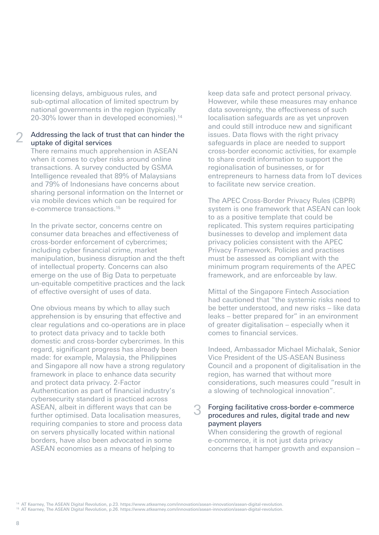licensing delays, ambiguous rules, and sub-optimal allocation of limited spectrum by national governments in the region (typically 20-30% lower than in developed economies).<sup>14</sup>

#### Addressing the lack of trust that can hinder the uptake of digital services 2

There remains much apprehension in ASEAN when it comes to cyber risks around online transactions. A survey conducted by GSMA Intelligence revealed that 89% of Malaysians and 79% of Indonesians have concerns about sharing personal information on the Internet or via mobile devices which can be required for e-commerce transactions.15

In the private sector, concerns centre on consumer data breaches and effectiveness of cross-border enforcement of cybercrimes; including cyber financial crime, market manipulation, business disruption and the theft of intellectual property. Concerns can also emerge on the use of Big Data to perpetuate un-equitable competitive practices and the lack of effective oversight of uses of data.

One obvious means by which to allay such apprehension is by ensuring that effective and clear regulations and co-operations are in place to protect data privacy and to tackle both domestic and cross-border cybercrimes. In this regard, significant progress has already been made: for example, Malaysia, the Philippines and Singapore all now have a strong regulatory framework in place to enhance data security and protect data privacy. 2-Factor Authentication as part of financial industry's cybersecurity standard is practiced across ASEAN, albeit in different ways that can be further optimised. Data localisation measures, requiring companies to store and process data on servers physically located within national borders, have also been advocated in some ASEAN economies as a means of helping to

keep data safe and protect personal privacy. However, while these measures may enhance data sovereignty, the effectiveness of such localisation safeguards are as yet unproven and could still introduce new and significant issues. Data flows with the right privacy safeguards in place are needed to support cross-border economic activities, for example to share credit information to support the regionalisation of businesses, or for entrepreneurs to harness data from IoT devices to facilitate new service creation.

The APEC Cross-Border Privacy Rules (CBPR) system is one framework that ASEAN can look to as a positive template that could be replicated. This system requires participating businesses to develop and implement data privacy policies consistent with the APEC Privacy Framework. Policies and practises must be assessed as compliant with the minimum program requirements of the APEC framework, and are enforceable by law.

Mittal of the Singapore Fintech Association had cautioned that "the systemic risks need to be better understood, and new risks – like data leaks – better prepared for" in an environment of greater digitalisation – especially when it comes to financial services.

Indeed, Ambassador Michael Michalak, Senior Vice President of the US-ASEAN Business Council and a proponent of digitalisation in the region, has warned that without more considerations, such measures could "result in a slowing of technological innovation".

#### Forging facilitative cross-border e-commerce procedures and rules, digital trade and new payment players 3

When considering the growth of regional e-commerce, it is not just data privacy concerns that hamper growth and expansion –

<sup>14</sup> AT Kearney, The ASEAN Digital Revolution, p.23. https://www.atkearney.com/innovation/asean-innovation/asean-digital-revolution.

<sup>15</sup> AT Kearney, The ASEAN Digital Revolution, p.26. https://www.atkearney.com/innovation/asean-innovation/asean-digital-revolution.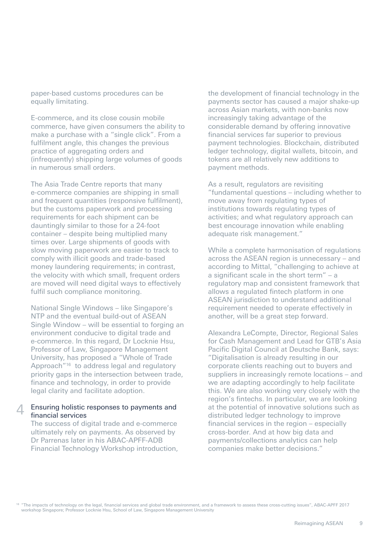paper-based customs procedures can be equally limitating.

E-commerce, and its close cousin mobile commerce, have given consumers the ability to make a purchase with a "single click". From a fulfilment angle, this changes the previous practice of aggregating orders and (infrequently) shipping large volumes of goods in numerous small orders.

The Asia Trade Centre reports that many e-commerce companies are shipping in small and frequent quantities (responsive fulfilment), but the customs paperwork and processing requirements for each shipment can be dauntingly similar to those for a 24-foot container – despite being multiplied many times over. Large shipments of goods with slow moving paperwork are easier to track to comply with illicit goods and trade-based money laundering requirements; in contrast, the velocity with which small, frequent orders are moved will need digital ways to effectively fulfil such compliance monitoring.

National Single Windows – like Singapore's NTP and the eventual build-out of ASEAN Single Window – will be essential to forging an environment conducive to digital trade and e-commerce. In this regard, Dr Locknie Hsu, Professor of Law, Singapore Management University, has proposed a "Whole of Trade Approach"<sup>16</sup> to address legal and regulatory priority gaps in the intersection between trade, finance and technology, in order to provide legal clarity and facilitate adoption.

#### Ensuring holistic responses to payments and financial services  $\perp$

The success of digital trade and e-commerce ultimately rely on payments. As observed by Dr Parrenas later in his ABAC-APFF-ADB Financial Technology Workshop introduction, the development of financial technology in the payments sector has caused a major shake-up across Asian markets, with non-banks now increasingly taking advantage of the considerable demand by offering innovative financial services far superior to previous payment technologies. Blockchain, distributed ledger technology, digital wallets, bitcoin, and tokens are all relatively new additions to payment methods.

As a result, regulators are revisiting "fundamental questions – including whether to move away from regulating types of institutions towards regulating types of activities; and what regulatory approach can best encourage innovation while enabling adequate risk management."

While a complete harmonisation of regulations across the ASEAN region is unnecessary – and according to Mittal, "challenging to achieve at a significant scale in the short term" – a regulatory map and consistent framework that allows a regulated fintech platform in one ASEAN jurisdiction to understand additional requirement needed to operate effectively in another, will be a great step forward.

Alexandra LeCompte, Director, Regional Sales for Cash Management and Lead for GTB's Asia Pacific Digital Council at Deutsche Bank, says: "Digitalisation is already resulting in our corporate clients reaching out to buyers and suppliers in increasingly remote locations – and we are adapting accordingly to help facilitate this. We are also working very closely with the region's fintechs. In particular, we are looking at the potential of innovative solutions such as distributed ledger technology to improve financial services in the region – especially cross-border. And at how big data and payments/collections analytics can help companies make better decisions."

<sup>16</sup> "The impacts of technology on the legal, financial services and global trade environment, and a framework to assess these cross-cutting issues", ABAC-APFF 2017 workshop Singapore; Professor Locknie Hsu, School of Law, Singapore Management University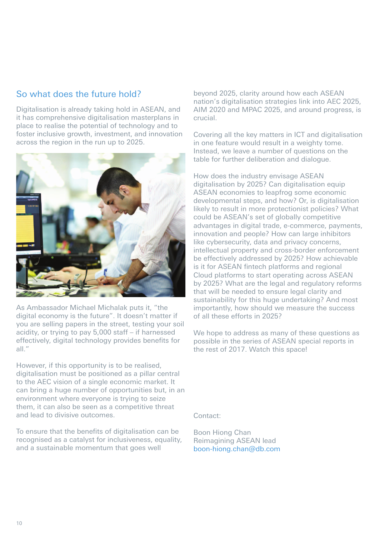## So what does the future hold?

Digitalisation is already taking hold in ASEAN, and it has comprehensive digitalisation masterplans in place to realise the potential of technology and to foster inclusive growth, investment, and innovation across the region in the run up to 2025.



As Ambassador Michael Michalak puts it, "the digital economy is the future". It doesn't matter if you are selling papers in the street, testing your soil acidity, or trying to pay 5,000 staff – if harnessed effectively, digital technology provides benefits for all $"$ 

However, if this opportunity is to be realised, digitalisation must be positioned as a pillar central to the AEC vision of a single economic market. It can bring a huge number of opportunities but, in an environment where everyone is trying to seize them, it can also be seen as a competitive threat and lead to divisive outcomes.

To ensure that the benefits of digitalisation can be recognised as a catalyst for inclusiveness, equality, and a sustainable momentum that goes well

beyond 2025, clarity around how each ASEAN nation's digitalisation strategies link into AEC 2025, AIM 2020 and MPAC 2025, and around progress, is crucial.

Covering all the key matters in ICT and digitalisation in one feature would result in a weighty tome. Instead, we leave a number of questions on the table for further deliberation and dialogue.

How does the industry envisage ASEAN digitalisation by 2025? Can digitalisation equip ASEAN economies to leapfrog some economic developmental steps, and how? Or, is digitalisation likely to result in more protectionist policies? What could be ASEAN's set of globally competitive advantages in digital trade, e-commerce, payments, innovation and people? How can large inhibitors like cybersecurity, data and privacy concerns, intellectual property and cross-border enforcement be effectively addressed by 2025? How achievable is it for ASEAN fintech platforms and regional Cloud platforms to start operating across ASEAN by 2025? What are the legal and regulatory reforms that will be needed to ensure legal clarity and sustainability for this huge undertaking? And most importantly, how should we measure the success of all these efforts in 2025?

We hope to address as many of these questions as possible in the series of ASEAN special reports in the rest of 2017. Watch this space!

Contact:

Boon Hiong Chan Reimagining ASEAN lead boon-hiong.chan@db.com